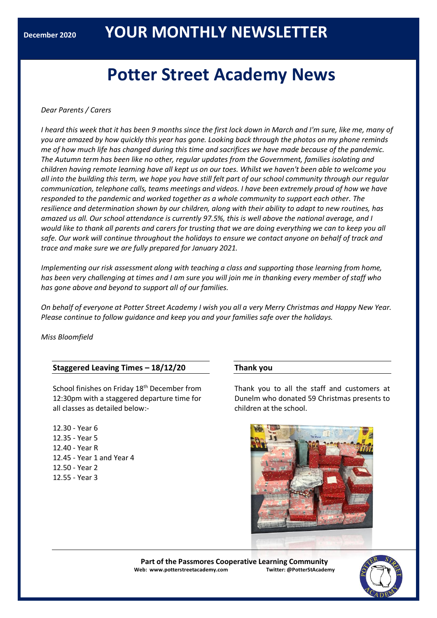# **Potter Street Academy News**

## *Dear Parents / Carers*

*I heard this week that it has been 9 months since the first lock down in March and I'm sure, like me, many of you are amazed by how quickly this year has gone. Looking back through the photos on my phone reminds me of how much life has changed during this time and sacrifices we have made because of the pandemic. The Autumn term has been like no other, regular updates from the Government, families isolating and children having remote learning have all kept us on our toes. Whilst we haven't been able to welcome you all into the building this term, we hope you have still felt part of our school community through our regular communication, telephone calls, teams meetings and videos. I have been extremely proud of how we have responded to the pandemic and worked together as a whole community to support each other. The resilience and determination shown by our children, along with their ability to adapt to new routines, has amazed us all. Our school attendance is currently 97.5%, this is well above the national average, and I*  would like to thank all parents and carers for trusting that we are doing everything we can to keep you all *safe. Our work will continue throughout the holidays to ensure we contact anyone on behalf of track and trace and make sure we are fully prepared for January 2021.*

*Implementing our risk assessment along with teaching a class and supporting those learning from home, has been very challenging at times and I am sure you will join me in thanking every member of staff who has gone above and beyond to support all of our families.*

*On behalf of everyone at Potter Street Academy I wish you all a very Merry Christmas and Happy New Year. Please continue to follow guidance and keep you and your families safe over the holidays.*

*Miss Bloomfield*

## **Staggered Leaving Times – 18/12/20**

School finishes on Friday 18<sup>th</sup> December from 12:30pm with a staggered departure time for all classes as detailed below:-

12.30 - Year 6 12.35 - Year 5 12.40 - Year R 12.45 - Year 1 and Year 4 12.50 - Year 2 12.55 - Year 3

## **Thank you**

Thank you to all the staff and customers at Dunelm who donated 59 Christmas presents to children at the school.



**Part of the Passmores Cooperative Learning Community Web: www.potterstreetacademy.com Twitter: @PotterStAcademy**

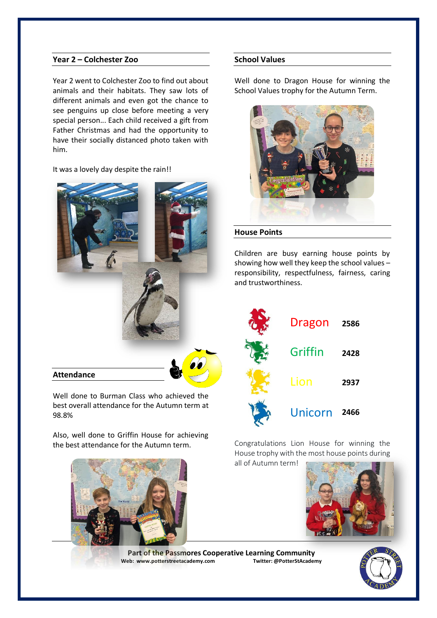## **Year 2 – Colchester Zoo**

Year 2 went to Colchester Zoo to find out about animals and their habitats. They saw lots of different animals and even got the chance to see penguins up close before meeting a very special person... Each child received a gift from Father Christmas and had the opportunity to have their socially distanced photo taken with him.

# It was a lovely day despite the rain!!



Well done to Burman Class who achieved the best overall attendance for the Autumn term at 98.8%

Also, well done to Griffin House for achieving the best attendance for the Autumn term.





Well done to Dragon House for winning the School Values trophy for the Autumn Term.



#### **House Points**

Children are busy earning house points by showing how well they keep the school values – responsibility, respectfulness, fairness, caring and trustworthiness.



Congratulations Lion House for winning the House trophy with the most house points during

all of Autumn term!



**Part of the Passmores Cooperative Learning Community**<br>eb: www.potterstreetacademv.com Iwitter: @PotterStAcademv **Web: www.potterstreetacademy.com** 

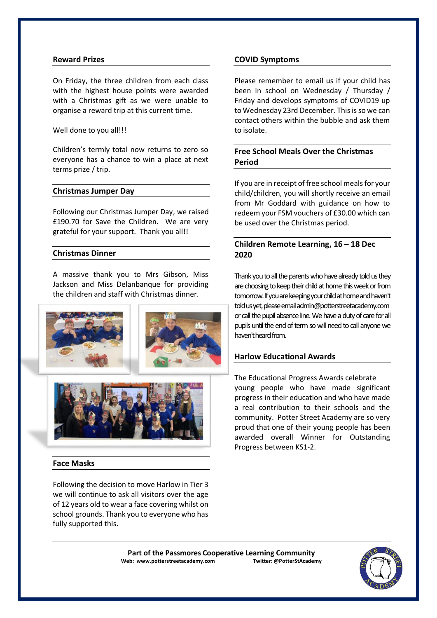## **Reward Prizes**

On Friday, the three children from each class with the highest house points were awarded with a Christmas gift as we were unable to organise a reward trip at this current time.

#### Well done to you all!!!

Children's termly total now returns to zero so everyone has a chance to win a place at next terms prize / trip.

#### **Christmas Jumper Day**

Following our Christmas Jumper Day, we raised £190.70 for Save the Children. We are very grateful for your support. Thank you all!!

#### **Christmas Dinner**

A massive thank you to Mrs Gibson, Miss Jackson and Miss Delanbanque for providing the children and staff with Christmas dinner.



#### **Face Masks**

Following the decision to move Harlow in Tier 3 we will continue to ask all visitors over the age of 12 years old to wear a face covering whilst on school grounds. Thank you to everyone who has fully supported this.

#### **COVID Symptoms**

Please remember to email us if your child has been in school on Wednesday / Thursday / Friday and develops symptoms of COVID19 up to Wednesday 23rd December. This is so we can contact others within the bubble and ask them to isolate.

# **Free School Meals Over the Christmas Period**

If you are in receipt of free school meals for your child/children, you will shortly receive an email from Mr Goddard with guidance on how to redeem your FSM vouchers of £30.00 which can be used over the Christmas period.

# **Children Remote Learning, 16 – 18 Dec 2020**

Thank you to all the parents who have already told us they are choosing to keep their child at home this week or from tomorrow. If you are keeping your child at home and haven't told us yet, please email admin@potterstreetacademy.com or call the pupil absence line. We have a duty of care for all pupils until the end of term so will need to call anyone we haven't heard from.

#### **Harlow Educational Awards**

The Educational Progress Awards celebrate young people who have made significant progress in their education and who have made a real contribution to their schools and the community. Potter Street Academy are so very proud that one of their young people has been awarded overall Winner for Outstanding Progress between KS1-2.